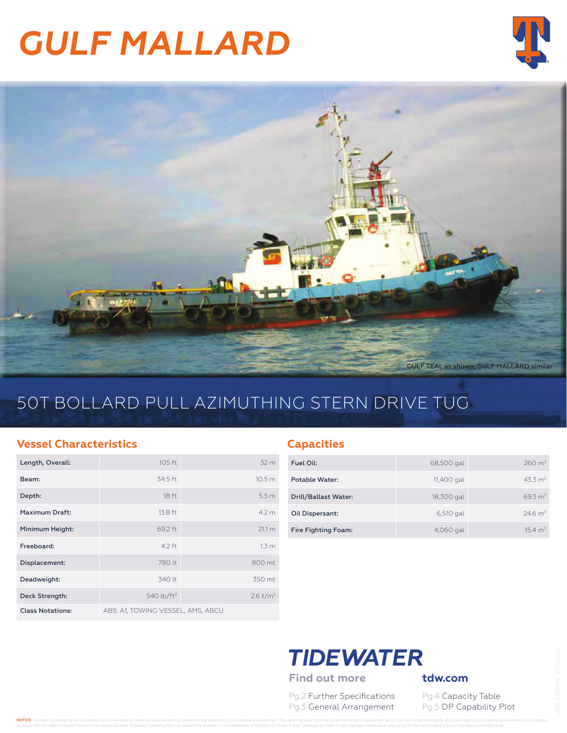# *GULF MALLARD*





### 50T BOLLARD PULL AZIMUTHING STERN DRIVE TUG

#### **Vessel Characteristics**

| Length, Overall:        | $105$ ft                          | 32 <sub>m</sub>      |
|-------------------------|-----------------------------------|----------------------|
| Beam:                   | 34.5 ft                           | 10.5 <sub>m</sub>    |
| Depth:                  | 18 <sub>ft</sub>                  | 5.5 <sub>m</sub>     |
| Maximum Draft:          | 13.8 ft                           | 4.2 m                |
| Minimum Height:         | 69.2 ft                           | 21.1 m               |
| Freeboard:              | $4.2$ ft                          | 1.3 <sub>m</sub>     |
| Displacement:           | 780 lt                            | 800 mt               |
| Deadweight:             | 340 lt                            | 350 mt               |
| Deck Strength:          | 540 lb/ft <sup>2</sup>            | 2.6 t/m <sup>2</sup> |
| <b>Class Notations:</b> | ABS: A1, TOWING VESSEL, AMS, ABCU |                      |

#### **Capacities**

| Fuel Oil:             | 68,500 gal | $260 \text{ m}^3$   |
|-----------------------|------------|---------------------|
| <b>Potable Water:</b> | 11,400 gal | 43.3 m <sup>3</sup> |
| Drill/Ballast Water:  | 18,300 gal | 69.3 m <sup>3</sup> |
| Oil Dispersant:       | 6,510 gal  | $24.6 \text{ m}^3$  |
| Fire Fighting Foam:   | 4,060 gal  | $154 \text{ m}^3$   |

## **TIDEWATER**

Find out more **tdw.com** 

Pg.2 Further Specifications Pg.4 Capacity Table Pg.3 General Arrangement Pg.5 DP Capability Plot

NOTICE: The data contained herein is provided for convenience of reference to allow users to determine the suitability of the Company's equipment. The data may vary from the current condition of equipment which can only be to insure that the data contained herein is reasonably accurate. However, Company does not warrant the accuracy or completeness of the data. In no event shall Company be liable for any damages whatsoever arising out of the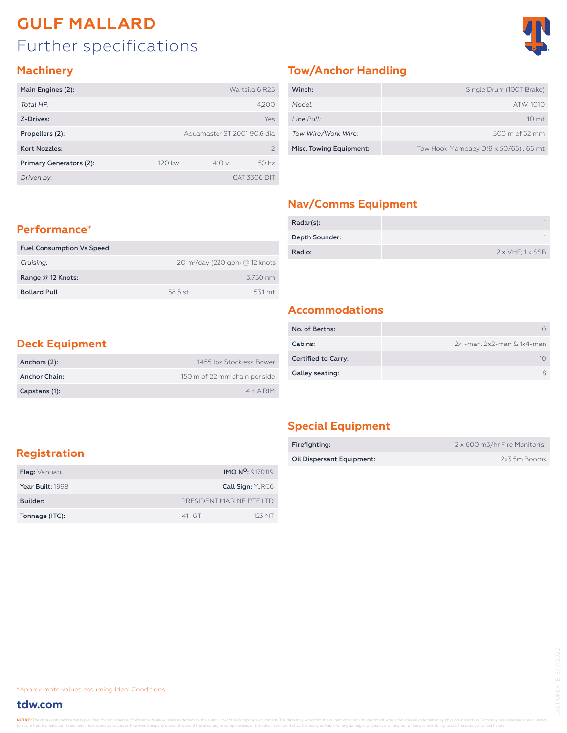### Further specifications **GULF MALLARD**



#### **Machinery**

| Main Engines (2):       | Wartsila 6 R25              |      |                  |  |  |  |
|-------------------------|-----------------------------|------|------------------|--|--|--|
| Total HP:               | 4,200                       |      |                  |  |  |  |
| Z-Drives:               | Yes                         |      |                  |  |  |  |
| Propellers (2):         | Aquamaster ST 2001 90.6 dia |      |                  |  |  |  |
| <b>Kort Nozzles:</b>    | $\mathcal{P}$               |      |                  |  |  |  |
| Primary Generators (2): | 120 kw                      | 410v | 50 <sub>hz</sub> |  |  |  |
| Driven by:              |                             |      | CAT 3306 DIT     |  |  |  |

#### **Tow/Anchor Handling**

| Winch:                  | Single Drum (100T Brake)                     |
|-------------------------|----------------------------------------------|
| Model:                  | ATW-1010                                     |
| Line Pull:              | 10 <sub>mt</sub>                             |
| Tow Wire/Work Wire:     | $500 \text{ m}$ of 52 mm                     |
| Misc. Towing Equipment: | Tow Hook Mampaey $D(9 \times 50/65)$ , 65 mt |

#### **Nav/Comms Equipment**

| Radar(s):      |                                 |
|----------------|---------------------------------|
| Depth Sounder: |                                 |
| Radio:         | $2 \times VHF$ ; $1 \times SSB$ |

#### **Performance**\*

| <b>Fuel Consumption Vs Speed</b> |         |                                            |
|----------------------------------|---------|--------------------------------------------|
| Cruising:                        |         | $20 \text{ m}^3$ /day (220 gph) @ 12 knots |
| Range $@12$ Knots:               |         | 3.750 nm                                   |
| <b>Bollard Pull</b>              | 58.5 st | 531 mt                                     |

#### **Accommodations**

| No. of Berths:             |                            |
|----------------------------|----------------------------|
| Cabins:                    | 2x1-man, 2x2-man & 1x4-man |
| <b>Certified to Carry:</b> | 10                         |
| Galley seating:            |                            |

#### **Deck Equipment**

| Anchors (2):         | 1455 Ibs Stockless Bower      |
|----------------------|-------------------------------|
| <b>Anchor Chain:</b> | 150 m of 22 mm chain per side |
| Capstans (1):        | $4+A$ RIM                     |

#### **Special Equipment**

| Firefighting:             | 2 x 600 m3/hr Fire Monitor(s) |
|---------------------------|-------------------------------|
| Oil Dispersant Equipment: | 2x3.5m Booms                  |

#### **Registration**

| <b>Flag:</b> Vanuatu |                          | <b>IMO N<sup>o</sup>: 9170119</b> |  |  |  |  |
|----------------------|--------------------------|-----------------------------------|--|--|--|--|
| Year Built: 1998     |                          | Call Sign: YJRC6                  |  |  |  |  |
| Builder:             | PRESIDENT MARINE PTE ITD |                                   |  |  |  |  |
| Tonnage (ITC):       | 411 GT                   | 123 NT                            |  |  |  |  |

\*Approximate values assuming Ideal Conditions

#### **tdw.com**

NOTICE: The data contained herein is provided for convenience of reference to allow users to determine the suitability of the Company's equipment. The data may vary from the current condition of equipment which can only be to insure that the data contained herein is reasonably accurate. However, Company does not warrant the accuracy or completeness of the data. In no event shall Company be liable for any damages whatsoever arising out of the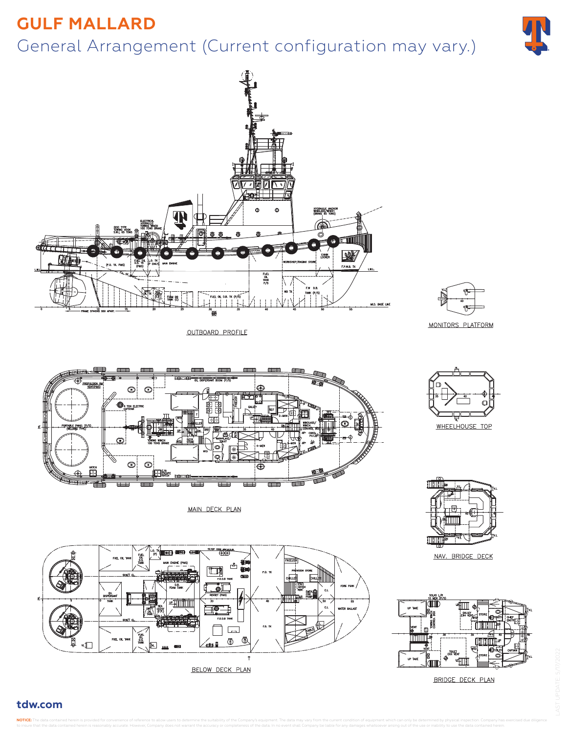### **GULF MALLARD**

### General Arrangement (Current configuration may vary.)





OUTBOARD PROFILE



MONITORS PLATFORM



fililli

NAV. BRIDGE DECK



BRIDGE DECK PLAN



MAIN DECK PLAN



BELOW DECK PLAN